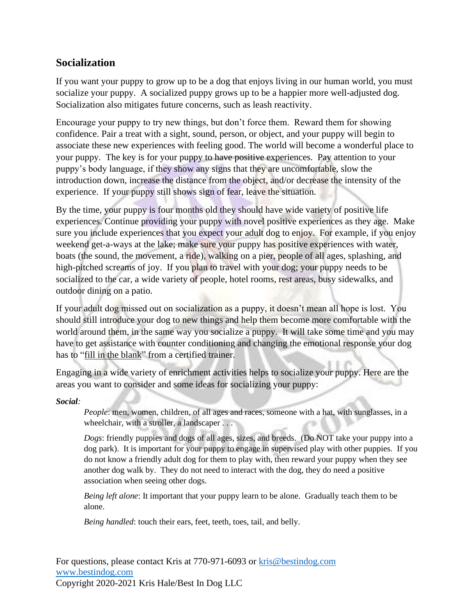# **Socialization**

If you want your puppy to grow up to be a dog that enjoys living in our human world, you must socialize your puppy. A socialized puppy grows up to be a happier more well-adjusted dog. Socialization also mitigates future concerns, such as leash reactivity.

Encourage your puppy to try new things, but don't force them. Reward them for showing confidence. Pair a treat with a sight, sound, person, or object, and your puppy will begin to associate these new experiences with feeling good. The world will become a wonderful place to your puppy. The key is for your puppy to have positive experiences. Pay attention to your puppy's body language, if they show any signs that they are uncomfortable, slow the introduction down, increase the distance from the object, and/or decrease the intensity of the experience. If your puppy still shows sign of fear, leave the situation.

By the time, your puppy is four months old they should have wide variety of positive life experiences. Continue providing your puppy with novel positive experiences as they age. Make sure you include experiences that you expect your adult dog to enjoy. For example, if you enjoy weekend get-a-ways at the lake; make sure your puppy has positive experiences with water, boats (the sound, the movement, a ride), walking on a pier, people of all ages, splashing, and high-pitched screams of joy. If you plan to travel with your dog; your puppy needs to be socialized to the car, a wide variety of people, hotel rooms, rest areas, busy sidewalks, and outdoor dining on a patio.

If your adult dog missed out on socialization as a puppy, it doesn't mean all hope is lost. You should still introduce your dog to new things and help them become more comfortable with the world around them, in the same way you socialize a puppy. It will take some time and you may have to get assistance with counter conditioning and changing the emotional response your dog has to "fill in the blank" from a certified trainer.

Engaging in a wide variety of enrichment activities helps to socialize your puppy. Here are the areas you want to consider and some ideas for socializing your puppy:

## *Social:*

*People*: men, women, children, of all ages and races, someone with a hat, with sunglasses, in a wheelchair, with a stroller, a landscaper . . .

*Dogs*: friendly puppies and dogs of all ages, sizes, and breeds. (Do NOT take your puppy into a dog park). It is important for your puppy to engage in supervised play with other puppies. If you do not know a friendly adult dog for them to play with, then reward your puppy when they see another dog walk by. They do not need to interact with the dog, they do need a positive association when seeing other dogs.

*Being left alone*: It important that your puppy learn to be alone. Gradually teach them to be alone.

*Being handled*: touch their ears, feet, teeth, toes, tail, and belly.

For questions, please contact Kris at 770-971-6093 or [kris@bestindog.com](mailto:kris@bestindog.com) [www.bestindog.com](http://www.bestindog.com/) Copyright 2020-2021 Kris Hale/Best In Dog LLC